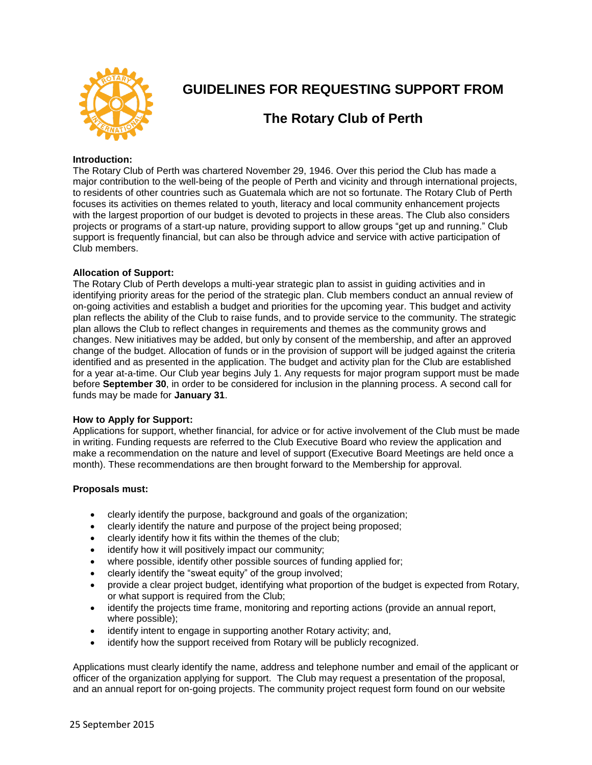

# **GUIDELINES FOR REQUESTING SUPPORT FROM**

# **The Rotary Club of Perth**

## **Introduction:**

The Rotary Club of Perth was chartered November 29, 1946. Over this period the Club has made a major contribution to the well-being of the people of Perth and vicinity and through international projects, to residents of other countries such as Guatemala which are not so fortunate. The Rotary Club of Perth focuses its activities on themes related to youth, literacy and local community enhancement projects with the largest proportion of our budget is devoted to projects in these areas. The Club also considers projects or programs of a start-up nature, providing support to allow groups "get up and running." Club support is frequently financial, but can also be through advice and service with active participation of Club members.

## **Allocation of Support:**

The Rotary Club of Perth develops a multi-year strategic plan to assist in guiding activities and in identifying priority areas for the period of the strategic plan. Club members conduct an annual review of on-going activities and establish a budget and priorities for the upcoming year. This budget and activity plan reflects the ability of the Club to raise funds, and to provide service to the community. The strategic plan allows the Club to reflect changes in requirements and themes as the community grows and changes. New initiatives may be added, but only by consent of the membership, and after an approved change of the budget. Allocation of funds or in the provision of support will be judged against the criteria identified and as presented in the application. The budget and activity plan for the Club are established for a year at-a-time. Our Club year begins July 1. Any requests for major program support must be made before **September 30**, in order to be considered for inclusion in the planning process. A second call for funds may be made for **January 31**.

#### **How to Apply for Support:**

Applications for support, whether financial, for advice or for active involvement of the Club must be made in writing. Funding requests are referred to the Club Executive Board who review the application and make a recommendation on the nature and level of support (Executive Board Meetings are held once a month). These recommendations are then brought forward to the Membership for approval.

#### **Proposals must:**

- clearly identify the purpose, background and goals of the organization;
- clearly identify the nature and purpose of the project being proposed;
- clearly identify how it fits within the themes of the club;
- identify how it will positively impact our community;
- where possible, identify other possible sources of funding applied for;
- clearly identify the "sweat equity" of the group involved;
- provide a clear project budget, identifying what proportion of the budget is expected from Rotary, or what support is required from the Club;
- identify the projects time frame, monitoring and reporting actions (provide an annual report, where possible);
- identify intent to engage in supporting another Rotary activity; and,
- identify how the support received from Rotary will be publicly recognized.

Applications must clearly identify the name, address and telephone number and email of the applicant or officer of the organization applying for support. The Club may request a presentation of the proposal, and an annual report for on-going projects. The community project request form found on our website